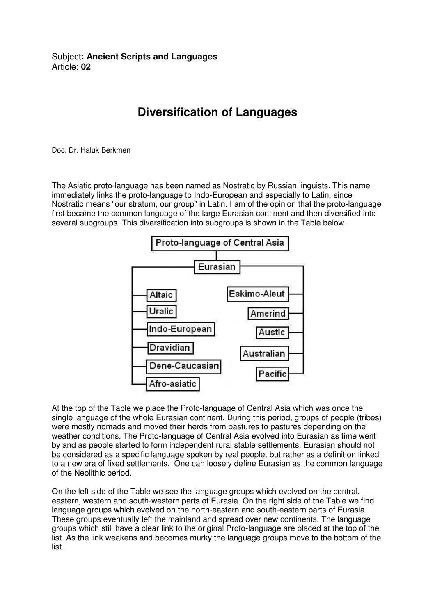Subject**: Ancient Scripts and Languages**  Article: **02** 

## **Diversification of Languages**

Doc. Dr. Haluk Berkmen

The Asiatic proto-language has been named as Nostratic by Russian linguists. This name immediately links the proto-language to Indo-European and especially to Latin, since Nostratic means "our stratum, our group" in Latin. I am of the opinion that the proto-language first became the common language of the large Eurasian continent and then diversified into several subgroups. This diversification into subgroups is shown in the Table below.



At the top of the Table we place the Proto-language of Central Asia which was once the single language of the whole Eurasian continent. During this period, groups of people (tribes) were mostly nomads and moved their herds from pastures to pastures depending on the weather conditions. The Proto-language of Central Asia evolved into Eurasian as time went by and as people started to form independent rural stable settlements. Eurasian should not be considered as a specific language spoken by real people, but rather as a definition linked to a new era of fixed settlements. One can loosely define Eurasian as the common language of the Neolithic period.

On the left side of the Table we see the language groups which evolved on the central, eastern, western and south-western parts of Eurasia. On the right side of the Table we find language groups which evolved on the north-eastern and south-eastern parts of Eurasia. These groups eventually left the mainland and spread over new continents. The language groups which still have a clear link to the original Proto-language are placed at the top of the list. As the link weakens and becomes murky the language groups move to the bottom of the list.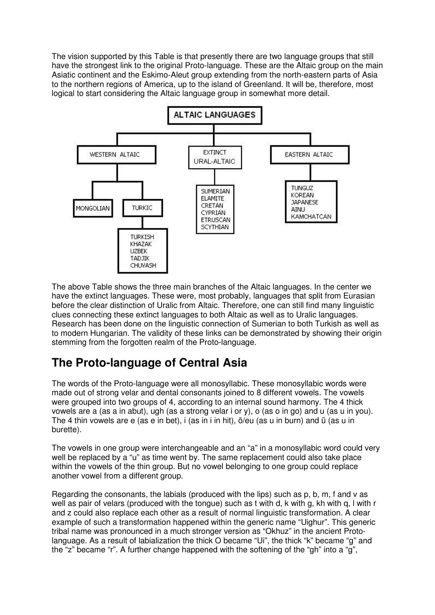The vision supported by this Table is that presently there are two language groups that still have the strongest link to the original Proto-language. These are the Altaic group on the main Asiatic continent and the Eskimo-Aleut group extending from the north-eastern parts of Asia to the northern regions of America, up to the island of Greenland. It will be, therefore, most logical to start considering the Altaic language group in somewhat more detail.



The above Table shows the three main branches of the Altaic languages. In the center we have the extinct languages. These were, most probably, languages that split from Eurasian before the clear distinction of Uralic from Altaic. Therefore, one can still find many linguistic clues connecting these extinct languages to both Altaic as well as to Uralic languages. Research has been done on the linguistic connection of Sumerian to both Turkish as well as to modern Hungarian. The validity of these links can be demonstrated by showing their origin stemming from the forgotten realm of the Proto-language.

## **The Proto-language of Central Asia**

The words of the Proto-language were all monosyllabic. These monosyllabic words were made out of strong velar and dental consonants joined to 8 different vowels. The vowels were grouped into two groups of 4, according to an internal sound harmony. The 4 thick vowels are a (as a in abut), ugh (as a strong velar i or y), o (as o in go) and u (as u in you). The 4 thin vowels are e (as e in bet), i (as in i in hit), ö/eu (as u in burn) and ü (as u in burette).

The vowels in one group were interchangeable and an "a" in a monosyllabic word could very well be replaced by a "u" as time went by. The same replacement could also take place within the vowels of the thin group. But no vowel belonging to one group could replace another vowel from a different group.

Regarding the consonants, the labials (produced with the lips) such as p, b, m, f and v as well as pair of velars (produced with the tongue) such as t with d, k with g, kh with q, I with r and z could also replace each other as a result of normal linguistic transformation. A clear example of such a transformation happened within the generic name "Uighur". This generic tribal name was pronounced in a much stronger version as "Okhuz" in the ancient Protolanguage. As a result of labialization the thick O became "Ui", the thick "k" became "g" and the "z" became "r". A further change happened with the softening of the "gh" into a "g",